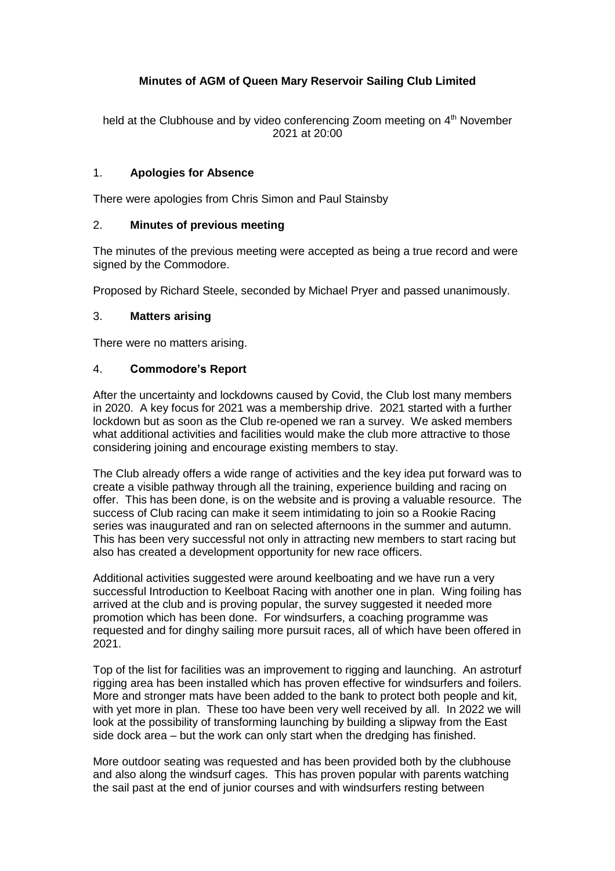# **Minutes of AGM of Queen Mary Reservoir Sailing Club Limited**

held at the Clubhouse and by video conferencing Zoom meeting on 4<sup>th</sup> November 2021 at 20:00

## 1. **Apologies for Absence**

There were apologies from Chris Simon and Paul Stainsby

## 2. **Minutes of previous meeting**

The minutes of the previous meeting were accepted as being a true record and were signed by the Commodore.

Proposed by Richard Steele, seconded by Michael Pryer and passed unanimously.

## 3. **Matters arising**

There were no matters arising.

## 4. **Commodore's Report**

After the uncertainty and lockdowns caused by Covid, the Club lost many members in 2020. A key focus for 2021 was a membership drive. 2021 started with a further lockdown but as soon as the Club re-opened we ran a survey. We asked members what additional activities and facilities would make the club more attractive to those considering joining and encourage existing members to stay.

The Club already offers a wide range of activities and the key idea put forward was to create a visible pathway through all the training, experience building and racing on offer. This has been done, is on the website and is proving a valuable resource. The success of Club racing can make it seem intimidating to join so a Rookie Racing series was inaugurated and ran on selected afternoons in the summer and autumn. This has been very successful not only in attracting new members to start racing but also has created a development opportunity for new race officers.

Additional activities suggested were around keelboating and we have run a very successful Introduction to Keelboat Racing with another one in plan. Wing foiling has arrived at the club and is proving popular, the survey suggested it needed more promotion which has been done. For windsurfers, a coaching programme was requested and for dinghy sailing more pursuit races, all of which have been offered in 2021.

Top of the list for facilities was an improvement to rigging and launching. An astroturf rigging area has been installed which has proven effective for windsurfers and foilers. More and stronger mats have been added to the bank to protect both people and kit, with yet more in plan. These too have been very well received by all. In 2022 we will look at the possibility of transforming launching by building a slipway from the East side dock area – but the work can only start when the dredging has finished.

More outdoor seating was requested and has been provided both by the clubhouse and also along the windsurf cages. This has proven popular with parents watching the sail past at the end of junior courses and with windsurfers resting between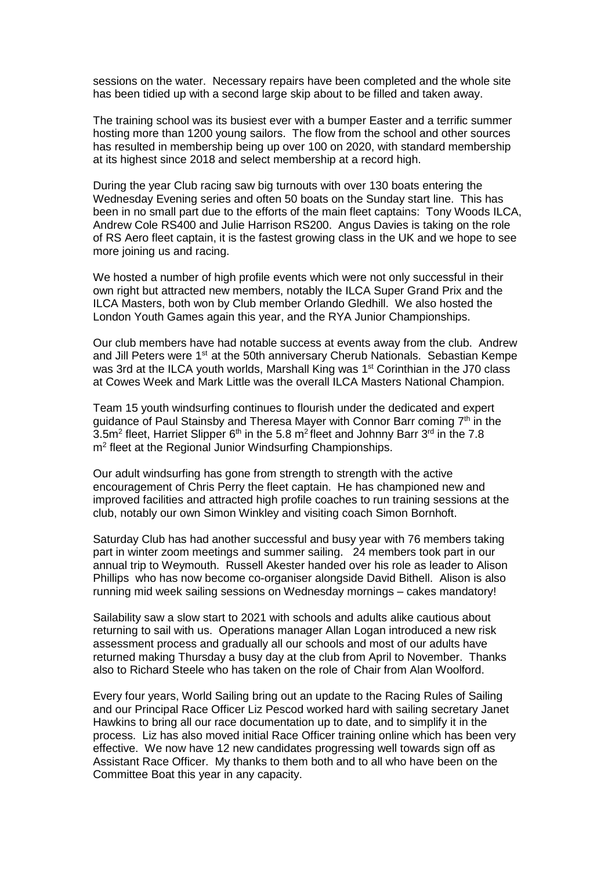sessions on the water. Necessary repairs have been completed and the whole site has been tidied up with a second large skip about to be filled and taken away.

The training school was its busiest ever with a bumper Easter and a terrific summer hosting more than 1200 young sailors. The flow from the school and other sources has resulted in membership being up over 100 on 2020, with standard membership at its highest since 2018 and select membership at a record high.

During the year Club racing saw big turnouts with over 130 boats entering the Wednesday Evening series and often 50 boats on the Sunday start line. This has been in no small part due to the efforts of the main fleet captains: Tony Woods ILCA, Andrew Cole RS400 and Julie Harrison RS200. Angus Davies is taking on the role of RS Aero fleet captain, it is the fastest growing class in the UK and we hope to see more joining us and racing.

We hosted a number of high profile events which were not only successful in their own right but attracted new members, notably the ILCA Super Grand Prix and the ILCA Masters, both won by Club member Orlando Gledhill. We also hosted the London Youth Games again this year, and the RYA Junior Championships.

Our club members have had notable success at events away from the club. Andrew and Jill Peters were 1<sup>st</sup> at the 50th anniversary Cherub Nationals. Sebastian Kempe was 3rd at the ILCA youth worlds, Marshall King was 1<sup>st</sup> Corinthian in the J70 class at Cowes Week and Mark Little was the overall ILCA Masters National Champion.

Team 15 youth windsurfing continues to flourish under the dedicated and expert guidance of Paul Stainsby and Theresa Mayer with Connor Barr coming 7<sup>th</sup> in the 3.5m<sup>2</sup> fleet, Harriet Slipper 6<sup>th</sup> in the 5.8 m<sup>2</sup> fleet and Johnny Barr 3<sup>rd</sup> in the 7.8 m<sup>2</sup> fleet at the Regional Junior Windsurfing Championships.

Our adult windsurfing has gone from strength to strength with the active encouragement of Chris Perry the fleet captain. He has championed new and improved facilities and attracted high profile coaches to run training sessions at the club, notably our own Simon Winkley and visiting coach Simon Bornhoft.

Saturday Club has had another successful and busy year with 76 members taking part in winter zoom meetings and summer sailing. 24 members took part in our annual trip to Weymouth. Russell Akester handed over his role as leader to Alison Phillips who has now become co-organiser alongside David Bithell. Alison is also running mid week sailing sessions on Wednesday mornings – cakes mandatory!

Sailability saw a slow start to 2021 with schools and adults alike cautious about returning to sail with us. Operations manager Allan Logan introduced a new risk assessment process and gradually all our schools and most of our adults have returned making Thursday a busy day at the club from April to November. Thanks also to Richard Steele who has taken on the role of Chair from Alan Woolford.

Every four years, World Sailing bring out an update to the Racing Rules of Sailing and our Principal Race Officer Liz Pescod worked hard with sailing secretary Janet Hawkins to bring all our race documentation up to date, and to simplify it in the process. Liz has also moved initial Race Officer training online which has been very effective. We now have 12 new candidates progressing well towards sign off as Assistant Race Officer. My thanks to them both and to all who have been on the Committee Boat this year in any capacity.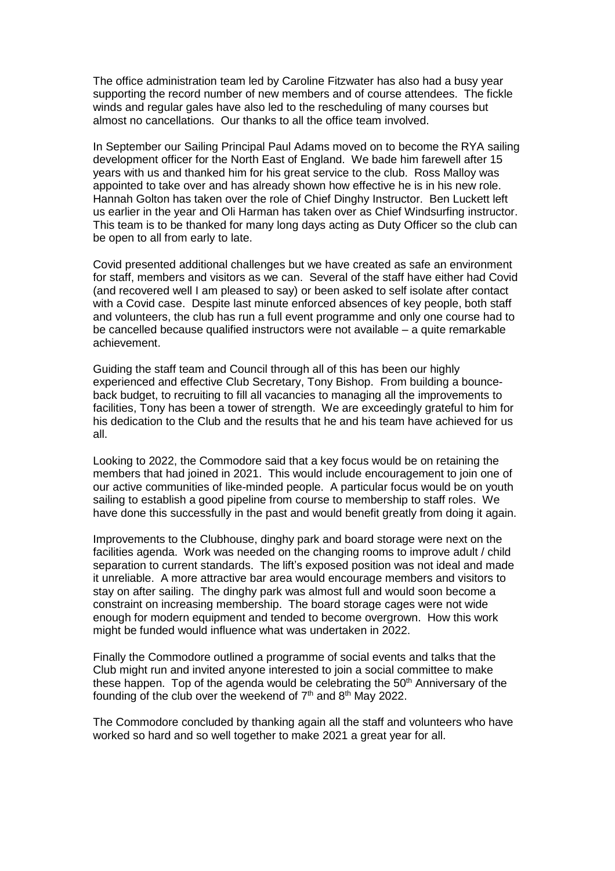The office administration team led by Caroline Fitzwater has also had a busy year supporting the record number of new members and of course attendees. The fickle winds and regular gales have also led to the rescheduling of many courses but almost no cancellations. Our thanks to all the office team involved.

In September our Sailing Principal Paul Adams moved on to become the RYA sailing development officer for the North East of England. We bade him farewell after 15 years with us and thanked him for his great service to the club. Ross Malloy was appointed to take over and has already shown how effective he is in his new role. Hannah Golton has taken over the role of Chief Dinghy Instructor. Ben Luckett left us earlier in the year and Oli Harman has taken over as Chief Windsurfing instructor. This team is to be thanked for many long days acting as Duty Officer so the club can be open to all from early to late.

Covid presented additional challenges but we have created as safe an environment for staff, members and visitors as we can. Several of the staff have either had Covid (and recovered well I am pleased to say) or been asked to self isolate after contact with a Covid case. Despite last minute enforced absences of key people, both staff and volunteers, the club has run a full event programme and only one course had to be cancelled because qualified instructors were not available – a quite remarkable achievement.

Guiding the staff team and Council through all of this has been our highly experienced and effective Club Secretary, Tony Bishop. From building a bounceback budget, to recruiting to fill all vacancies to managing all the improvements to facilities, Tony has been a tower of strength. We are exceedingly grateful to him for his dedication to the Club and the results that he and his team have achieved for us all.

Looking to 2022, the Commodore said that a key focus would be on retaining the members that had joined in 2021. This would include encouragement to join one of our active communities of like-minded people. A particular focus would be on youth sailing to establish a good pipeline from course to membership to staff roles. We have done this successfully in the past and would benefit greatly from doing it again.

Improvements to the Clubhouse, dinghy park and board storage were next on the facilities agenda. Work was needed on the changing rooms to improve adult / child separation to current standards. The lift's exposed position was not ideal and made it unreliable. A more attractive bar area would encourage members and visitors to stay on after sailing. The dinghy park was almost full and would soon become a constraint on increasing membership. The board storage cages were not wide enough for modern equipment and tended to become overgrown. How this work might be funded would influence what was undertaken in 2022.

Finally the Commodore outlined a programme of social events and talks that the Club might run and invited anyone interested to join a social committee to make these happen. Top of the agenda would be celebrating the  $50<sup>th</sup>$  Anniversary of the founding of the club over the weekend of  $7<sup>th</sup>$  and  $8<sup>th</sup>$  May 2022.

The Commodore concluded by thanking again all the staff and volunteers who have worked so hard and so well together to make 2021 a great year for all.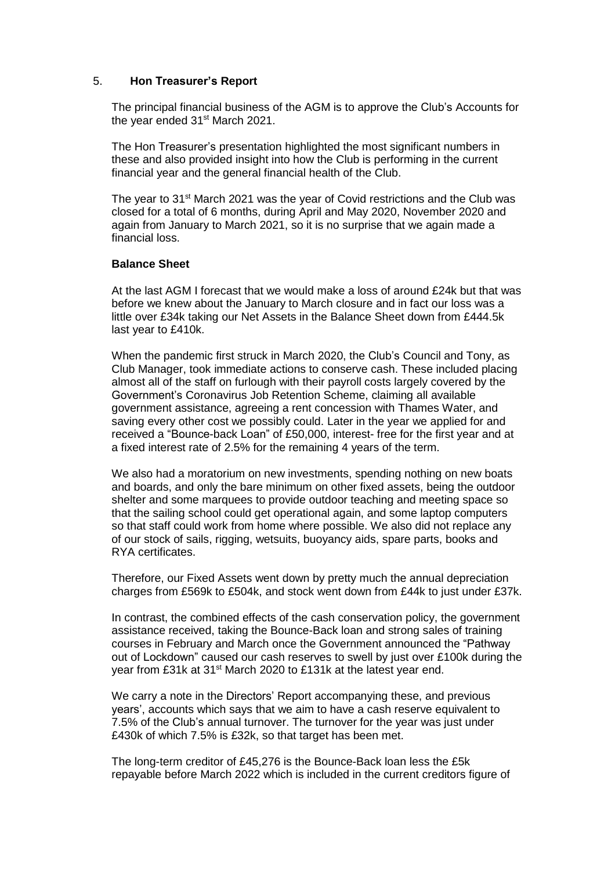## 5. **Hon Treasurer's Report**

The principal financial business of the AGM is to approve the Club's Accounts for the year ended 31<sup>st</sup> March 2021.

The Hon Treasurer's presentation highlighted the most significant numbers in these and also provided insight into how the Club is performing in the current financial year and the general financial health of the Club.

The year to 31<sup>st</sup> March 2021 was the year of Covid restrictions and the Club was closed for a total of 6 months, during April and May 2020, November 2020 and again from January to March 2021, so it is no surprise that we again made a financial loss.

## **Balance Sheet**

At the last AGM I forecast that we would make a loss of around £24k but that was before we knew about the January to March closure and in fact our loss was a little over £34k taking our Net Assets in the Balance Sheet down from £444.5k last year to £410k.

When the pandemic first struck in March 2020, the Club's Council and Tony, as Club Manager, took immediate actions to conserve cash. These included placing almost all of the staff on furlough with their payroll costs largely covered by the Government's Coronavirus Job Retention Scheme, claiming all available government assistance, agreeing a rent concession with Thames Water, and saving every other cost we possibly could. Later in the year we applied for and received a "Bounce-back Loan" of £50,000, interest- free for the first year and at a fixed interest rate of 2.5% for the remaining 4 years of the term.

We also had a moratorium on new investments, spending nothing on new boats and boards, and only the bare minimum on other fixed assets, being the outdoor shelter and some marquees to provide outdoor teaching and meeting space so that the sailing school could get operational again, and some laptop computers so that staff could work from home where possible. We also did not replace any of our stock of sails, rigging, wetsuits, buoyancy aids, spare parts, books and RYA certificates.

Therefore, our Fixed Assets went down by pretty much the annual depreciation charges from £569k to £504k, and stock went down from £44k to just under £37k.

In contrast, the combined effects of the cash conservation policy, the government assistance received, taking the Bounce-Back loan and strong sales of training courses in February and March once the Government announced the "Pathway out of Lockdown" caused our cash reserves to swell by just over £100k during the year from £31k at 31<sup>st</sup> March 2020 to £131k at the latest year end.

We carry a note in the Directors' Report accompanying these, and previous years', accounts which says that we aim to have a cash reserve equivalent to 7.5% of the Club's annual turnover. The turnover for the year was just under £430k of which 7.5% is £32k, so that target has been met.

The long-term creditor of £45,276 is the Bounce-Back loan less the £5k repayable before March 2022 which is included in the current creditors figure of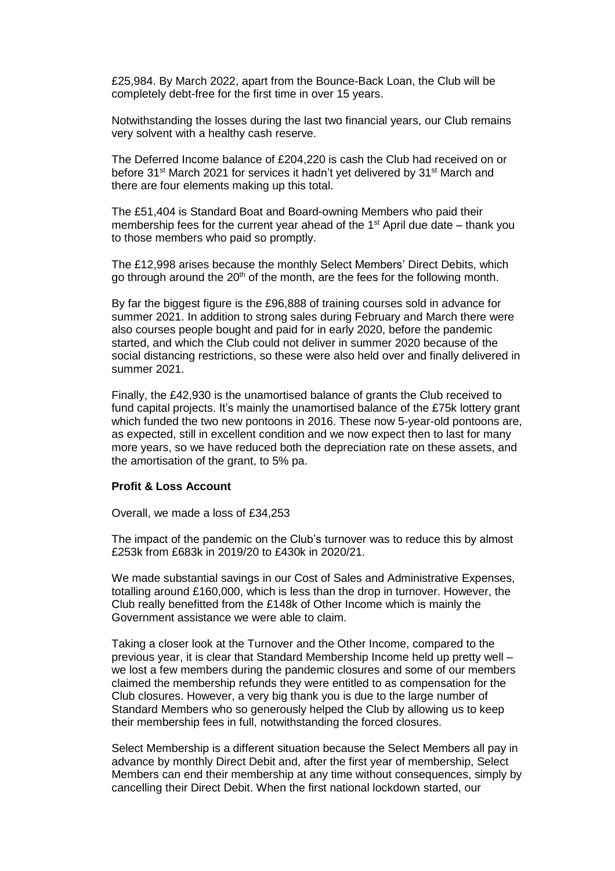£25,984. By March 2022, apart from the Bounce-Back Loan, the Club will be completely debt-free for the first time in over 15 years.

Notwithstanding the losses during the last two financial years, our Club remains very solvent with a healthy cash reserve.

The Deferred Income balance of £204,220 is cash the Club had received on or before 31<sup>st</sup> March 2021 for services it hadn't yet delivered by 31<sup>st</sup> March and there are four elements making up this total.

The £51,404 is Standard Boat and Board-owning Members who paid their membership fees for the current year ahead of the 1<sup>st</sup> April due date – thank you to those members who paid so promptly.

The £12,998 arises because the monthly Select Members' Direct Debits, which go through around the 20<sup>th</sup> of the month, are the fees for the following month.

By far the biggest figure is the £96,888 of training courses sold in advance for summer 2021. In addition to strong sales during February and March there were also courses people bought and paid for in early 2020, before the pandemic started, and which the Club could not deliver in summer 2020 because of the social distancing restrictions, so these were also held over and finally delivered in summer 2021.

Finally, the £42,930 is the unamortised balance of grants the Club received to fund capital projects. It's mainly the unamortised balance of the £75k lottery grant which funded the two new pontoons in 2016. These now 5-year-old pontoons are, as expected, still in excellent condition and we now expect then to last for many more years, so we have reduced both the depreciation rate on these assets, and the amortisation of the grant, to 5% pa.

#### **Profit & Loss Account**

Overall, we made a loss of £34,253

The impact of the pandemic on the Club's turnover was to reduce this by almost £253k from £683k in 2019/20 to £430k in 2020/21.

We made substantial savings in our Cost of Sales and Administrative Expenses, totalling around £160,000, which is less than the drop in turnover. However, the Club really benefitted from the £148k of Other Income which is mainly the Government assistance we were able to claim.

Taking a closer look at the Turnover and the Other Income, compared to the previous year, it is clear that Standard Membership Income held up pretty well – we lost a few members during the pandemic closures and some of our members claimed the membership refunds they were entitled to as compensation for the Club closures. However, a very big thank you is due to the large number of Standard Members who so generously helped the Club by allowing us to keep their membership fees in full, notwithstanding the forced closures.

Select Membership is a different situation because the Select Members all pay in advance by monthly Direct Debit and, after the first year of membership, Select Members can end their membership at any time without consequences, simply by cancelling their Direct Debit. When the first national lockdown started, our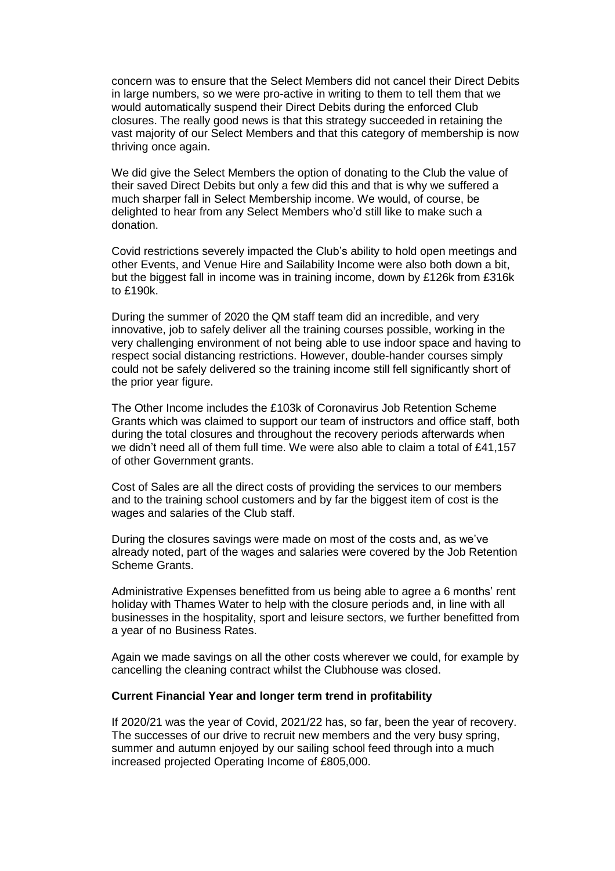concern was to ensure that the Select Members did not cancel their Direct Debits in large numbers, so we were pro-active in writing to them to tell them that we would automatically suspend their Direct Debits during the enforced Club closures. The really good news is that this strategy succeeded in retaining the vast majority of our Select Members and that this category of membership is now thriving once again.

We did give the Select Members the option of donating to the Club the value of their saved Direct Debits but only a few did this and that is why we suffered a much sharper fall in Select Membership income. We would, of course, be delighted to hear from any Select Members who'd still like to make such a donation.

Covid restrictions severely impacted the Club's ability to hold open meetings and other Events, and Venue Hire and Sailability Income were also both down a bit, but the biggest fall in income was in training income, down by £126k from £316k to £190k.

During the summer of 2020 the QM staff team did an incredible, and very innovative, job to safely deliver all the training courses possible, working in the very challenging environment of not being able to use indoor space and having to respect social distancing restrictions. However, double-hander courses simply could not be safely delivered so the training income still fell significantly short of the prior year figure.

The Other Income includes the £103k of Coronavirus Job Retention Scheme Grants which was claimed to support our team of instructors and office staff, both during the total closures and throughout the recovery periods afterwards when we didn't need all of them full time. We were also able to claim a total of £41,157 of other Government grants.

Cost of Sales are all the direct costs of providing the services to our members and to the training school customers and by far the biggest item of cost is the wages and salaries of the Club staff.

During the closures savings were made on most of the costs and, as we've already noted, part of the wages and salaries were covered by the Job Retention Scheme Grants.

Administrative Expenses benefitted from us being able to agree a 6 months' rent holiday with Thames Water to help with the closure periods and, in line with all businesses in the hospitality, sport and leisure sectors, we further benefitted from a year of no Business Rates.

Again we made savings on all the other costs wherever we could, for example by cancelling the cleaning contract whilst the Clubhouse was closed.

#### **Current Financial Year and longer term trend in profitability**

If 2020/21 was the year of Covid, 2021/22 has, so far, been the year of recovery. The successes of our drive to recruit new members and the very busy spring, summer and autumn enjoyed by our sailing school feed through into a much increased projected Operating Income of £805,000.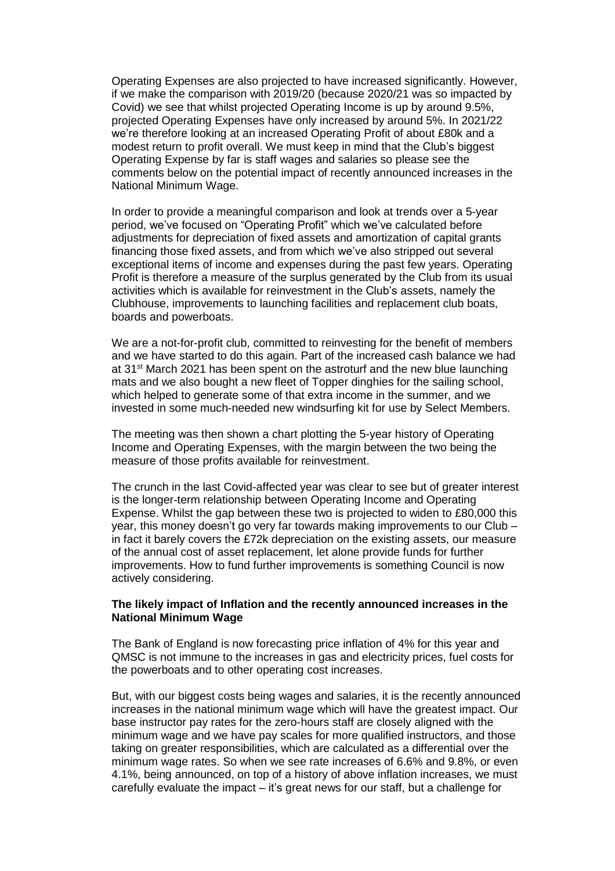Operating Expenses are also projected to have increased significantly. However, if we make the comparison with 2019/20 (because 2020/21 was so impacted by Covid) we see that whilst projected Operating Income is up by around 9.5%, projected Operating Expenses have only increased by around 5%. In 2021/22 we're therefore looking at an increased Operating Profit of about £80k and a modest return to profit overall. We must keep in mind that the Club's biggest Operating Expense by far is staff wages and salaries so please see the comments below on the potential impact of recently announced increases in the National Minimum Wage.

In order to provide a meaningful comparison and look at trends over a 5-year period, we've focused on "Operating Profit" which we've calculated before adjustments for depreciation of fixed assets and amortization of capital grants financing those fixed assets, and from which we've also stripped out several exceptional items of income and expenses during the past few years. Operating Profit is therefore a measure of the surplus generated by the Club from its usual activities which is available for reinvestment in the Club's assets, namely the Clubhouse, improvements to launching facilities and replacement club boats, boards and powerboats.

We are a not-for-profit club, committed to reinvesting for the benefit of members and we have started to do this again. Part of the increased cash balance we had at 31st March 2021 has been spent on the astroturf and the new blue launching mats and we also bought a new fleet of Topper dinghies for the sailing school, which helped to generate some of that extra income in the summer, and we invested in some much-needed new windsurfing kit for use by Select Members.

The meeting was then shown a chart plotting the 5-year history of Operating Income and Operating Expenses, with the margin between the two being the measure of those profits available for reinvestment.

The crunch in the last Covid-affected year was clear to see but of greater interest is the longer-term relationship between Operating Income and Operating Expense. Whilst the gap between these two is projected to widen to £80,000 this year, this money doesn't go very far towards making improvements to our Club – in fact it barely covers the £72k depreciation on the existing assets, our measure of the annual cost of asset replacement, let alone provide funds for further improvements. How to fund further improvements is something Council is now actively considering.

### **The likely impact of Inflation and the recently announced increases in the National Minimum Wage**

The Bank of England is now forecasting price inflation of 4% for this year and QMSC is not immune to the increases in gas and electricity prices, fuel costs for the powerboats and to other operating cost increases.

But, with our biggest costs being wages and salaries, it is the recently announced increases in the national minimum wage which will have the greatest impact. Our base instructor pay rates for the zero-hours staff are closely aligned with the minimum wage and we have pay scales for more qualified instructors, and those taking on greater responsibilities, which are calculated as a differential over the minimum wage rates. So when we see rate increases of 6.6% and 9.8%, or even 4.1%, being announced, on top of a history of above inflation increases, we must carefully evaluate the impact – it's great news for our staff, but a challenge for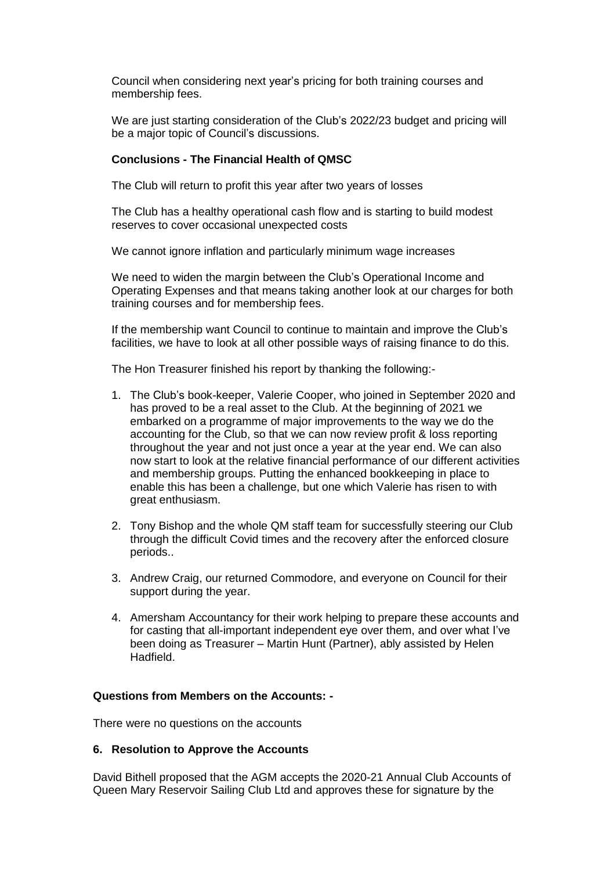Council when considering next year's pricing for both training courses and membership fees.

We are just starting consideration of the Club's 2022/23 budget and pricing will be a major topic of Council's discussions.

## **Conclusions - The Financial Health of QMSC**

The Club will return to profit this year after two years of losses

The Club has a healthy operational cash flow and is starting to build modest reserves to cover occasional unexpected costs

We cannot ignore inflation and particularly minimum wage increases

We need to widen the margin between the Club's Operational Income and Operating Expenses and that means taking another look at our charges for both training courses and for membership fees.

If the membership want Council to continue to maintain and improve the Club's facilities, we have to look at all other possible ways of raising finance to do this.

The Hon Treasurer finished his report by thanking the following:-

- 1. The Club's book-keeper, Valerie Cooper, who joined in September 2020 and has proved to be a real asset to the Club. At the beginning of 2021 we embarked on a programme of major improvements to the way we do the accounting for the Club, so that we can now review profit & loss reporting throughout the year and not just once a year at the year end. We can also now start to look at the relative financial performance of our different activities and membership groups. Putting the enhanced bookkeeping in place to enable this has been a challenge, but one which Valerie has risen to with great enthusiasm.
- 2. Tony Bishop and the whole QM staff team for successfully steering our Club through the difficult Covid times and the recovery after the enforced closure periods..
- 3. Andrew Craig, our returned Commodore, and everyone on Council for their support during the year.
- 4. Amersham Accountancy for their work helping to prepare these accounts and for casting that all-important independent eye over them, and over what I've been doing as Treasurer – Martin Hunt (Partner), ably assisted by Helen Hadfield.

### **Questions from Members on the Accounts: -**

There were no questions on the accounts

### **6. Resolution to Approve the Accounts**

David Bithell proposed that the AGM accepts the 2020-21 Annual Club Accounts of Queen Mary Reservoir Sailing Club Ltd and approves these for signature by the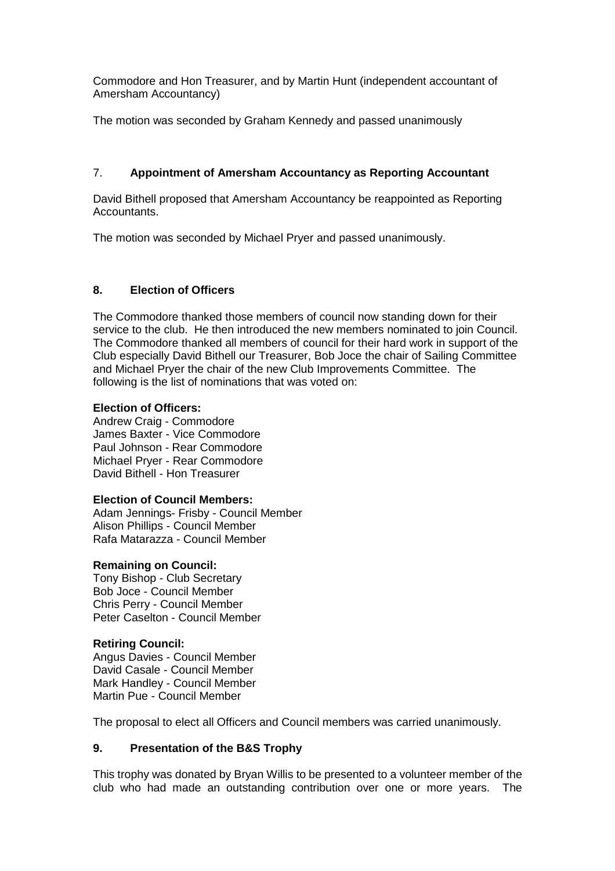Commodore and Hon Treasurer, and by Martin Hunt (independent accountant of Amersham Accountancy)

The motion was seconded by Graham Kennedy and passed unanimously

## 7. **Appointment of Amersham Accountancy as Reporting Accountant**

David Bithell proposed that Amersham Accountancy be reappointed as Reporting Accountants.

The motion was seconded by Michael Pryer and passed unanimously.

## **8. Election of Officers**

The Commodore thanked those members of council now standing down for their service to the club. He then introduced the new members nominated to join Council. The Commodore thanked all members of council for their hard work in support of the Club especially David Bithell our Treasurer, Bob Joce the chair of Sailing Committee and Michael Pryer the chair of the new Club Improvements Committee. The following is the list of nominations that was voted on:

## **Election of Officers:**

Andrew Craig - Commodore James Baxter - Vice Commodore Paul Johnson - Rear Commodore Michael Pryer - Rear Commodore David Bithell - Hon Treasurer

### **Election of Council Members:**

Adam Jennings- Frisby - Council Member Alison Phillips - Council Member Rafa Matarazza - Council Member

### **Remaining on Council:**

Tony Bishop - Club Secretary Bob Joce - Council Member Chris Perry - Council Member Peter Caselton - Council Member

## **Retiring Council:**

Angus Davies - Council Member David Casale - Council Member Mark Handley - Council Member Martin Pue - Council Member

The proposal to elect all Officers and Council members was carried unanimously.

# **9. Presentation of the B&S Trophy**

This trophy was donated by Bryan Willis to be presented to a volunteer member of the club who had made an outstanding contribution over one or more years. The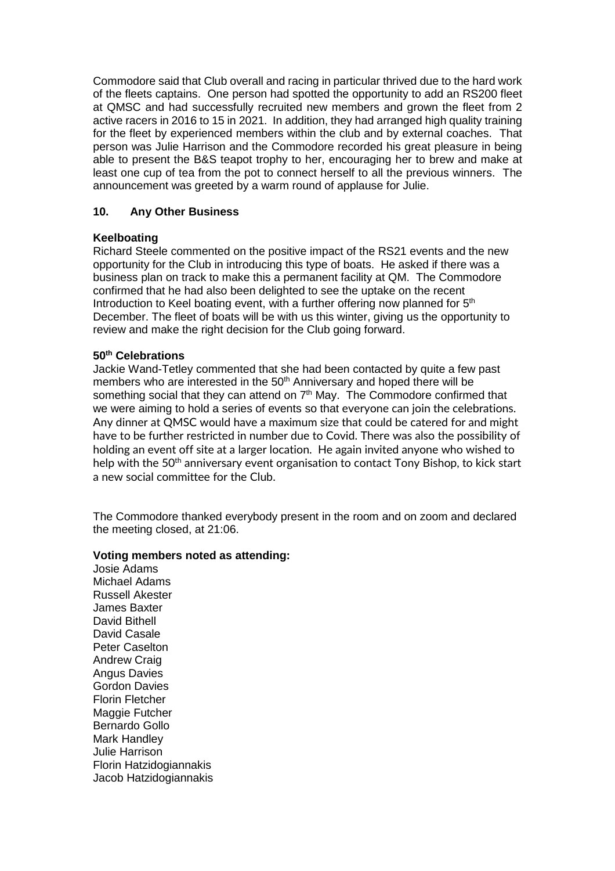Commodore said that Club overall and racing in particular thrived due to the hard work of the fleets captains. One person had spotted the opportunity to add an RS200 fleet at QMSC and had successfully recruited new members and grown the fleet from 2 active racers in 2016 to 15 in 2021. In addition, they had arranged high quality training for the fleet by experienced members within the club and by external coaches. That person was Julie Harrison and the Commodore recorded his great pleasure in being able to present the B&S teapot trophy to her, encouraging her to brew and make at least one cup of tea from the pot to connect herself to all the previous winners. The announcement was greeted by a warm round of applause for Julie.

# **10. Any Other Business**

# **Keelboating**

Richard Steele commented on the positive impact of the RS21 events and the new opportunity for the Club in introducing this type of boats. He asked if there was a business plan on track to make this a permanent facility at QM. The Commodore confirmed that he had also been delighted to see the uptake on the recent Introduction to Keel boating event, with a further offering now planned for  $5<sup>th</sup>$ December. The fleet of boats will be with us this winter, giving us the opportunity to review and make the right decision for the Club going forward.

# **50th Celebrations**

Jackie Wand-Tetley commented that she had been contacted by quite a few past members who are interested in the 50<sup>th</sup> Anniversary and hoped there will be something social that they can attend on 7<sup>th</sup> May. The Commodore confirmed that we were aiming to hold a series of events so that everyone can join the celebrations. Any dinner at QMSC would have a maximum size that could be catered for and might have to be further restricted in number due to Covid. There was also the possibility of holding an event off site at a larger location. He again invited anyone who wished to help with the 50<sup>th</sup> anniversary event organisation to contact Tony Bishop, to kick start a new social committee for the Club.

The Commodore thanked everybody present in the room and on zoom and declared the meeting closed, at 21:06.

## **Voting members noted as attending:**

Josie Adams Michael Adams Russell Akester James Baxter David Bithell David Casale Peter Caselton Andrew Craig Angus Davies Gordon Davies Florin Fletcher Maggie Futcher Bernardo Gollo Mark Handley Julie Harrison Florin Hatzidogiannakis Jacob Hatzidogiannakis